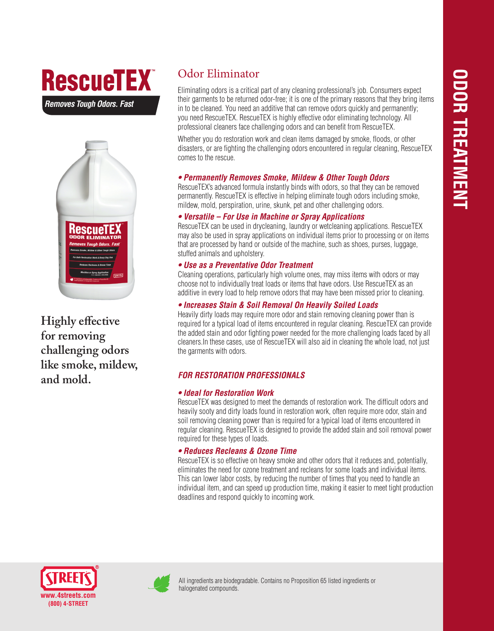# **RescueTEX**

*Removes Tough Odors. Fast*



**Highly effective for removing challenging odors like smoke, mildew, and mold.**

## Odor Eliminator

Eliminating odors is a critical part of any cleaning professional's job. Consumers expect their garments to be returned odor-free; it is one of the primary reasons that they bring items in to be cleaned. You need an additive that can remove odors quickly and permanently; you need RescueTEX. RescueTEX is highly effective odor eliminating technology. All professional cleaners face challenging odors and can benefit from RescueTEX.

Whether you do restoration work and clean items damaged by smoke, floods, or other disasters, or are fighting the challenging odors encountered in regular cleaning, RescueTEX comes to the rescue.

#### *• Permanently Removes Smoke, Mildew & Other Tough Odors*

RescueTEX's advanced formula instantly binds with odors, so that they can be removed permanently. RescueTEX is effective in helping eliminate tough odors including smoke, mildew, mold, perspiration, urine, skunk, pet and other challenging odors.

#### *• Versatile – For Use in Machine or Spray Applications*

RescueTEX can be used in drycleaning, laundry or wetcleaning applications. RescueTEX may also be used in spray applications on individual items prior to processing or on items that are processed by hand or outside of the machine, such as shoes, purses, luggage, stuffed animals and upholstery.

#### *• Use as a Preventative Odor Treatment*

Cleaning operations, particularly high volume ones, may miss items with odors or may choose not to individually treat loads or items that have odors. Use RescueTEX as an additive in every load to help remove odors that may have been missed prior to cleaning.

#### *• Increases Stain & Soil Removal On Heavily Soiled Loads*

Heavily dirty loads may require more odor and stain removing cleaning power than is required for a typical load of items encountered in regular cleaning. RescueTEX can provide the added stain and odor fighting power needed for the more challenging loads faced by all cleaners.In these cases, use of RescueTEX will also aid in cleaning the whole load, not just the garments with odors.

#### *FOR RESTORATION PROFESSIONALS*

#### *• Ideal for Restoration Work*

RescueTEX was designed to meet the demands of restoration work. The difficult odors and heavily sooty and dirty loads found in restoration work, often require more odor, stain and soil removing cleaning power than is required for a typical load of items encountered in regular cleaning. RescueTEX is designed to provide the added stain and soil removal power required for these types of loads.

#### *• Reduces Recleans & Ozone Time*

RescueTEX is so effective on heavy smoke and other odors that it reduces and, potentially, eliminates the need for ozone treatment and recleans for some loads and individual items. This can lower labor costs, by reducing the number of times that you need to handle an individual item, and can speed up production time, making it easier to meet tight production deadlines and respond quickly to incoming work.





All ingredients are biodegradable. Contains no Proposition 65 listed ingredients or halogenated compounds.